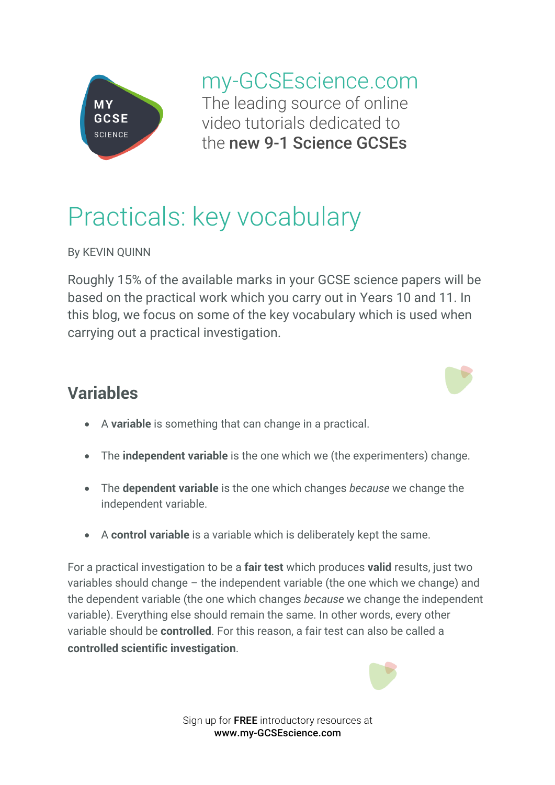

my-GCSEscience.com The leading source of online video tutorials dedicated to the new 9-1 Science GCSEs

## Practicals: key vocabulary

By KEVIN QUINN

Roughly 15% of the available marks in your GCSE science papers will be based on the practical work which you carry out in Years 10 and 11. In this blog, we focus on some of the key vocabulary which is used when carrying out a practical investigation.

## **Variables**



- A **variable** is something that can change in a practical.
- The **independent variable** is the one which we (the experimenters) change.
- The **dependent variable** is the one which changes *because* we change the independent variable.
- A **control variable** is a variable which is deliberately kept the same.

For a practical investigation to be a **fair test** which produces **valid** results, just two variables should change – the independent variable (the one which we change) and the dependent variable (the one which changes *because* we change the independent variable). Everything else should remain the same. In other words, every other variable should be **controlled**. For this reason, a fair test can also be called a **controlled scientific investigation**.



Sign up for FREE introductory resources at www.my-GCSEscience.com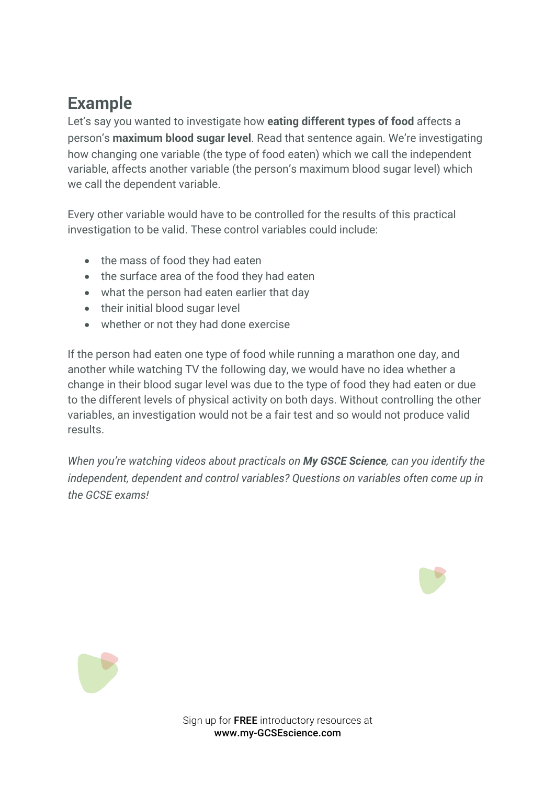## **Example**

Let's say you wanted to investigate how **eating different types of food** affects a person's **maximum blood sugar level**. Read that sentence again. We're investigating how changing one variable (the type of food eaten) which we call the independent variable, affects another variable (the person's maximum blood sugar level) which we call the dependent variable.

Every other variable would have to be controlled for the results of this practical investigation to be valid. These control variables could include:

- the mass of food they had eaten
- the surface area of the food they had eaten
- what the person had eaten earlier that day
- their initial blood sugar level
- whether or not they had done exercise

If the person had eaten one type of food while running a marathon one day, and another while watching TV the following day, we would have no idea whether a change in their blood sugar level was due to the type of food they had eaten or due to the different levels of physical activity on both days. Without controlling the other variables, an investigation would not be a fair test and so would not produce valid results.

*When you're watching videos about practicals on My GSCE Science, can you identify the independent, dependent and control variables? Questions on variables often come up in the GCSE exams!*